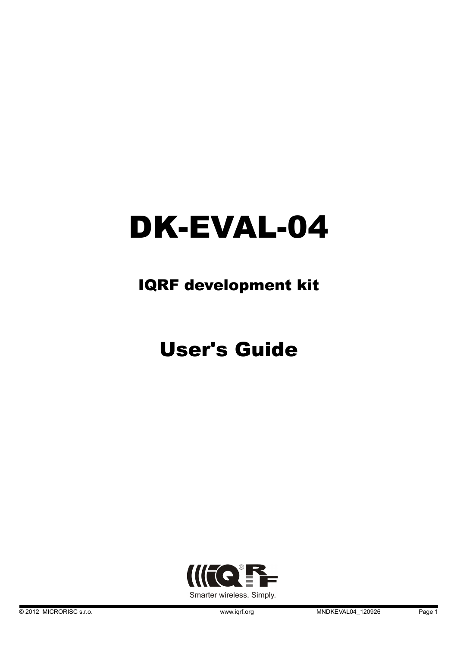# DK-EVAL-04

### IQRF development kit

# User's Guide

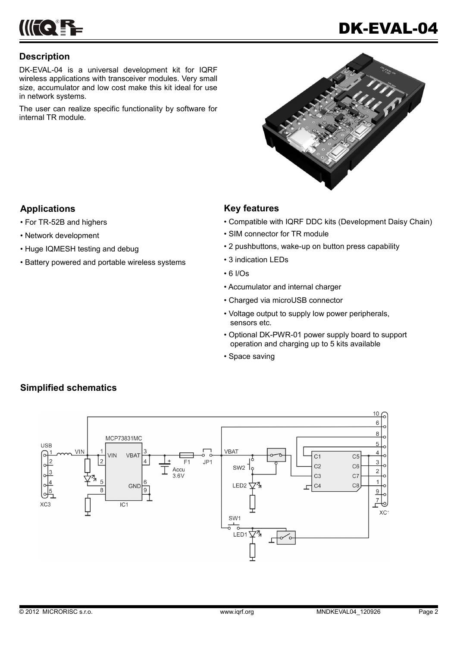

#### **Description**

DK-EVAL-04 is a universal development kit for IQRF wireless applications with transceiver modules. Very small size, accumulator and low cost make this kit ideal for use in network systems.

The user can realize specific functionality by software for internal TR module.

#### **Applications**

- For TR-52B and highers
- Network development
- Huge IQMESH testing and debug
- Battery powered and portable wireless systems

#### **Key features**

- Compatible with IQRF DDC kits (Development Daisy Chain)
- SIM connector for TR module
- 2 pushbuttons, wake-up on button press capability
- 3 indication LEDs
- 6 I/Os
- Accumulator and internal charger
- Charged via microUSB connector
- Voltage output to supply low power peripherals, sensors etc.
- Optional DK-PWR-01 power supply board to support operation and charging up to 5 kits available
- Space saving



#### **Simplified schematics**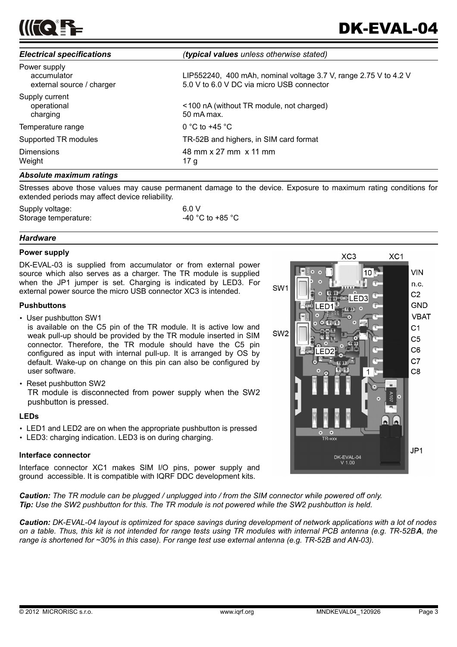

| <b>Electrical specifications</b>                         | (typical values unless otherwise stated)                                                                      |
|----------------------------------------------------------|---------------------------------------------------------------------------------------------------------------|
| Power supply<br>accumulator<br>external source / charger | LIP552240, 400 mAh, nominal voltage 3.7 V, range 2.75 V to 4.2 V<br>5.0 V to 6.0 V DC via micro USB connector |
| Supply current<br>operational<br>charging                | <100 nA (without TR module, not charged)<br>50 mA max.                                                        |
| Temperature range                                        | 0 °C to +45 °C                                                                                                |
| Supported TR modules                                     | TR-52B and highers, in SIM card format                                                                        |
| <b>Dimensions</b><br>Weight                              | 48 mm x 27 mm x 11 mm<br>17 g                                                                                 |
|                                                          |                                                                                                               |

#### *Absolute maximum ratings*

Stresses above those values may cause permanent damage to the device. Exposure to maximum rating conditions for extended periods may affect device reliability.

| Supply voltage:      | 6.0 V            |  |
|----------------------|------------------|--|
| Storage temperature: | -40 °C to +85 °C |  |

#### *Hardware*

#### **Power supply**

DK-EVAL-03 is supplied from accumulator or from external power source which also serves as a charger. The TR module is supplied when the JP1 jumper is set. Charging is indicated by LED3. For external power source the micro USB connector XC3 is intended.

#### **Pushbuttons**

• User pushbutton SW1

is available on the C5 pin of the TR module. It is active low and weak pull-up should be provided by the TR module inserted in SIM connector. Therefore, the TR module should have the C5 pin configured as input with internal pull-up. It is arranged by OS by default. Wake-up on change on this pin can also be configured by user software.

• Reset pushbutton SW2

TR module is disconnected from power supply when the SW2 pushbutton is pressed.

#### **LEDs**

- LED1 and LED2 are on when the appropriate pushbutton is pressed
- LED3: charging indication. LED3 is on during charging.

#### **Interface connector**

Interface connector XC1 makes SIM I/O pins, power supply and ground accessible. It is compatible with IQRF DDC development kits.

*Caution: The TR module can be plugged / unplugged into / from the SIM connector while powered off only. Tip: Use the SW2 pushbutton for this. The TR module is not powered while the SW2 pushbutton is held.*

*Caution: DK-EVAL-04 layout is optimized for space savings during development of network applications with a lot of nodes on a table. Thus, this kit is not intended for range tests using TR modules with internal PCB antenna (e.g. TR-52BA, the range is shortened for ~30% in this case). For range test use external antenna (e.g. TR-52B and AN-03).*

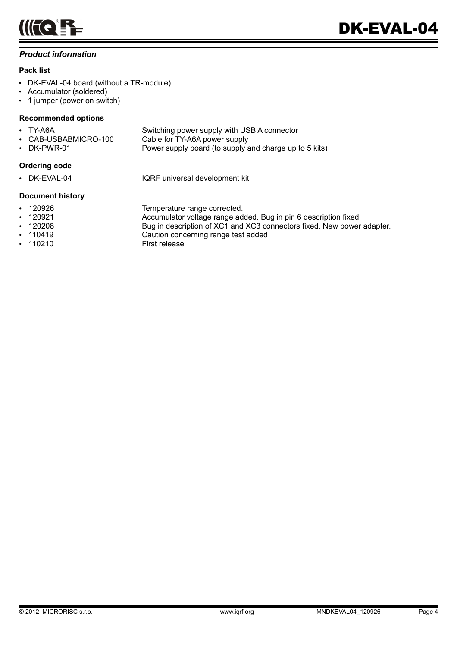

#### *Product information*

#### **Pack list**

- DK-EVAL-04 board (without a TR-module)
- Accumulator (soldered)
- 1 jumper (power on switch)

#### **Recommended options**

| $\cdot$ TY-A6A       | Switching power supply with USB A connector            |
|----------------------|--------------------------------------------------------|
| • CAB-USBABMICRO-100 | Cable for TY-A6A power supply                          |
| • DK-PWR-01          | Power supply board (to supply and charge up to 5 kits) |

#### **Ordering code**

• DK-EVAL-04 IQRF universal development kit

#### **Document history**

- 
- 
- 
- 
- 110210 First release

• 120926 Temperature range corrected. • 120921 Accumulator voltage range added. Bug in pin 6 description fixed. • 120208 Bug in description of XC1 and XC3 connectors fixed. New power adapter. • 110419 Caution concerning range test added